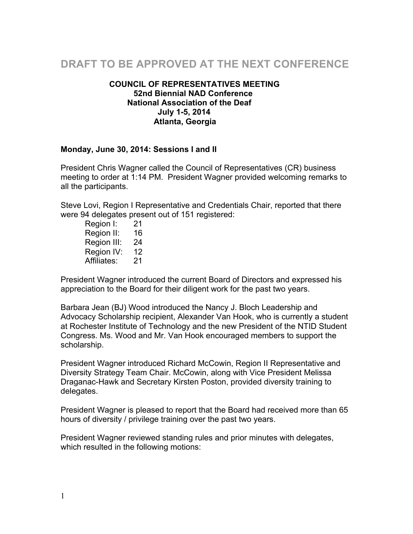# **DRAFT TO BE APPROVED AT THE NEXT CONFERENCE**

#### **COUNCIL OF REPRESENTATIVES MEETING 52nd Biennial NAD Conference National Association of the Deaf July 1-5, 2014 Atlanta, Georgia**

#### **Monday, June 30, 2014: Sessions I and II**

President Chris Wagner called the Council of Representatives (CR) business meeting to order at 1:14 PM. President Wagner provided welcoming remarks to all the participants.

Steve Lovi, Region I Representative and Credentials Chair, reported that there were 94 delegates present out of 151 registered:

Region I: 21 Region II: 16 Region III: 24 Region IV: 12 Affiliates: 21

President Wagner introduced the current Board of Directors and expressed his appreciation to the Board for their diligent work for the past two years.

Barbara Jean (BJ) Wood introduced the Nancy J. Bloch Leadership and Advocacy Scholarship recipient, Alexander Van Hook, who is currently a student at Rochester Institute of Technology and the new President of the NTID Student Congress. Ms. Wood and Mr. Van Hook encouraged members to support the scholarship.

President Wagner introduced Richard McCowin, Region II Representative and Diversity Strategy Team Chair. McCowin, along with Vice President Melissa Draganac-Hawk and Secretary Kirsten Poston, provided diversity training to delegates.

President Wagner is pleased to report that the Board had received more than 65 hours of diversity / privilege training over the past two years.

President Wagner reviewed standing rules and prior minutes with delegates, which resulted in the following motions: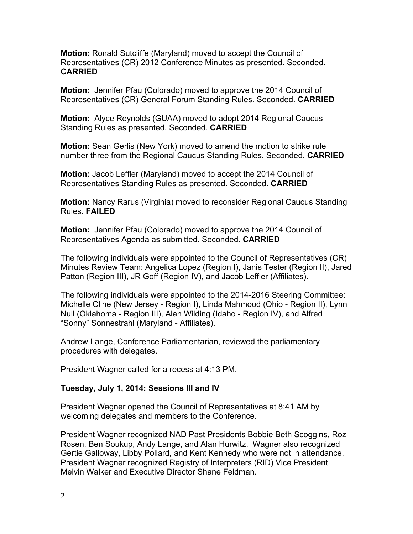**Motion:** Ronald Sutcliffe (Maryland) moved to accept the Council of Representatives (CR) 2012 Conference Minutes as presented. Seconded. **CARRIED** 

**Motion:** Jennifer Pfau (Colorado) moved to approve the 2014 Council of Representatives (CR) General Forum Standing Rules. Seconded. **CARRIED** 

**Motion:** Alyce Reynolds (GUAA) moved to adopt 2014 Regional Caucus Standing Rules as presented. Seconded. **CARRIED**

**Motion:** Sean Gerlis (New York) moved to amend the motion to strike rule number three from the Regional Caucus Standing Rules. Seconded. **CARRIED**

**Motion:** Jacob Leffler (Maryland) moved to accept the 2014 Council of Representatives Standing Rules as presented. Seconded. **CARRIED**

**Motion:** Nancy Rarus (Virginia) moved to reconsider Regional Caucus Standing Rules. **FAILED**

**Motion:** Jennifer Pfau (Colorado) moved to approve the 2014 Council of Representatives Agenda as submitted. Seconded. **CARRIED**

The following individuals were appointed to the Council of Representatives (CR) Minutes Review Team: Angelica Lopez (Region I), Janis Tester (Region II), Jared Patton (Region III), JR Goff (Region IV), and Jacob Leffler (Affiliates).

The following individuals were appointed to the 2014-2016 Steering Committee: Michelle Cline (New Jersey - Region I), Linda Mahmood (Ohio - Region II), Lynn Null (Oklahoma - Region III), Alan Wilding (Idaho - Region IV), and Alfred "Sonny" Sonnestrahl (Maryland - Affiliates).

Andrew Lange, Conference Parliamentarian, reviewed the parliamentary procedures with delegates.

President Wagner called for a recess at 4:13 PM.

#### **Tuesday, July 1, 2014: Sessions III and IV**

President Wagner opened the Council of Representatives at 8:41 AM by welcoming delegates and members to the Conference.

President Wagner recognized NAD Past Presidents Bobbie Beth Scoggins, Roz Rosen, Ben Soukup, Andy Lange, and Alan Hurwitz. Wagner also recognized Gertie Galloway, Libby Pollard, and Kent Kennedy who were not in attendance. President Wagner recognized Registry of Interpreters (RID) Vice President Melvin Walker and Executive Director Shane Feldman.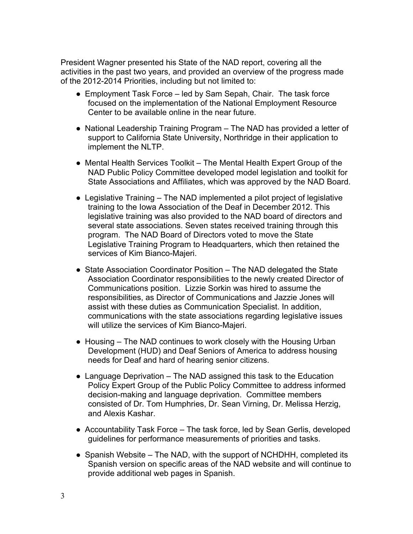President Wagner presented his State of the NAD report, covering all the activities in the past two years, and provided an overview of the progress made of the 2012-2014 Priorities, including but not limited to:

- Employment Task Force led by Sam Sepah, Chair. The task force focused on the implementation of the National Employment Resource Center to be available online in the near future.
- National Leadership Training Program The NAD has provided a letter of support to California State University, Northridge in their application to implement the NLTP.
- Mental Health Services Toolkit The Mental Health Expert Group of the NAD Public Policy Committee developed model legislation and toolkit for State Associations and Affiliates, which was approved by the NAD Board.
- Legislative Training The NAD implemented a pilot project of legislative training to the Iowa Association of the Deaf in December 2012. This legislative training was also provided to the NAD board of directors and several state associations. Seven states received training through this program. The NAD Board of Directors voted to move the State Legislative Training Program to Headquarters, which then retained the services of Kim Bianco-Majeri.
- State Association Coordinator Position The NAD delegated the State Association Coordinator responsibilities to the newly created Director of Communications position. Lizzie Sorkin was hired to assume the responsibilities, as Director of Communications and Jazzie Jones will assist with these duties as Communication Specialist. In addition, communications with the state associations regarding legislative issues will utilize the services of Kim Bianco-Majeri.
- Housing The NAD continues to work closely with the Housing Urban Development (HUD) and Deaf Seniors of America to address housing needs for Deaf and hard of hearing senior citizens.
- $\bullet$  Language Deprivation The NAD assigned this task to the Education Policy Expert Group of the Public Policy Committee to address informed decision-making and language deprivation. Committee members consisted of Dr. Tom Humphries, Dr. Sean Virning, Dr. Melissa Herzig, and Alexis Kashar.
- Accountability Task Force The task force, led by Sean Gerlis, developed guidelines for performance measurements of priorities and tasks.
- $\bullet$  Spanish Website The NAD, with the support of NCHDHH, completed its Spanish version on specific areas of the NAD website and will continue to provide additional web pages in Spanish.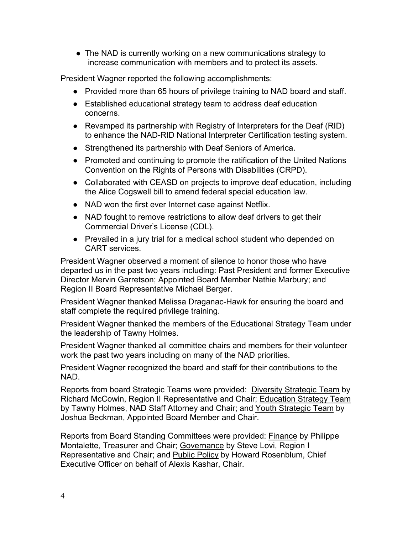• The NAD is currently working on a new communications strategy to increase communication with members and to protect its assets.

President Wagner reported the following accomplishments:

- Provided more than 65 hours of privilege training to NAD board and staff.
- Established educational strategy team to address deaf education concerns.
- Revamped its partnership with Registry of Interpreters for the Deaf (RID) to enhance the NAD-RID National Interpreter Certification testing system.
- Strengthened its partnership with Deaf Seniors of America.
- Promoted and continuing to promote the ratification of the United Nations Convention on the Rights of Persons with Disabilities (CRPD).
- Collaborated with CEASD on projects to improve deaf education, including the Alice Cogswell bill to amend federal special education law.
- NAD won the first ever Internet case against Netflix.
- NAD fought to remove restrictions to allow deaf drivers to get their Commercial Driver's License (CDL).
- Prevailed in a jury trial for a medical school student who depended on CART services.

President Wagner observed a moment of silence to honor those who have departed us in the past two years including: Past President and former Executive Director Mervin Garretson; Appointed Board Member Nathie Marbury; and Region II Board Representative Michael Berger.

President Wagner thanked Melissa Draganac-Hawk for ensuring the board and staff complete the required privilege training.

President Wagner thanked the members of the Educational Strategy Team under the leadership of Tawny Holmes.

President Wagner thanked all committee chairs and members for their volunteer work the past two years including on many of the NAD priorities.

President Wagner recognized the board and staff for their contributions to the NAD.

Reports from board Strategic Teams were provided: Diversity Strategic Team by Richard McCowin, Region II Representative and Chair; Education Strategy Team by Tawny Holmes, NAD Staff Attorney and Chair; and Youth Strategic Team by Joshua Beckman, Appointed Board Member and Chair.

Reports from Board Standing Committees were provided: Finance by Philippe Montalette, Treasurer and Chair; Governance by Steve Lovi, Region I Representative and Chair; and Public Policy by Howard Rosenblum, Chief Executive Officer on behalf of Alexis Kashar, Chair.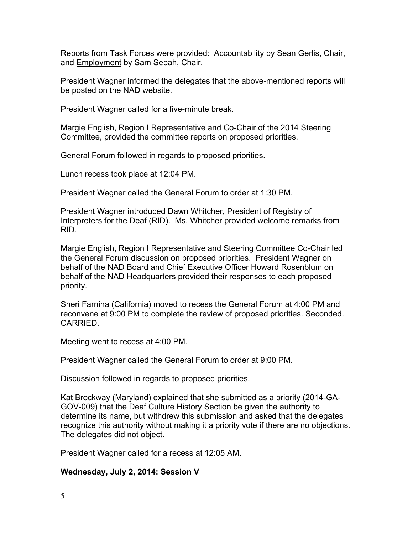Reports from Task Forces were provided: Accountability by Sean Gerlis, Chair, and **Employment** by Sam Sepah, Chair.

President Wagner informed the delegates that the above-mentioned reports will be posted on the NAD website.

President Wagner called for a five-minute break.

Margie English, Region I Representative and Co-Chair of the 2014 Steering Committee, provided the committee reports on proposed priorities.

General Forum followed in regards to proposed priorities.

Lunch recess took place at 12:04 PM.

President Wagner called the General Forum to order at 1:30 PM.

President Wagner introduced Dawn Whitcher, President of Registry of Interpreters for the Deaf (RID). Ms. Whitcher provided welcome remarks from RID.

Margie English, Region I Representative and Steering Committee Co-Chair led the General Forum discussion on proposed priorities. President Wagner on behalf of the NAD Board and Chief Executive Officer Howard Rosenblum on behalf of the NAD Headquarters provided their responses to each proposed priority.

Sheri Farniha (California) moved to recess the General Forum at 4:00 PM and reconvene at 9:00 PM to complete the review of proposed priorities. Seconded. CARRIED.

Meeting went to recess at 4:00 PM.

President Wagner called the General Forum to order at 9:00 PM.

Discussion followed in regards to proposed priorities.

Kat Brockway (Maryland) explained that she submitted as a priority (2014-GA-GOV-009) that the Deaf Culture History Section be given the authority to determine its name, but withdrew this submission and asked that the delegates recognize this authority without making it a priority vote if there are no objections. The delegates did not object.

President Wagner called for a recess at 12:05 AM.

#### **Wednesday, July 2, 2014: Session V**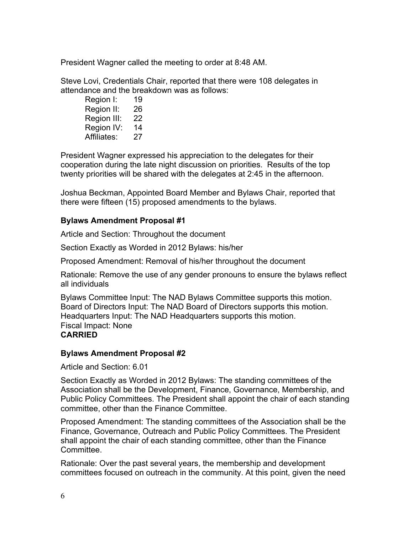President Wagner called the meeting to order at 8:48 AM.

Steve Lovi, Credentials Chair, reported that there were 108 delegates in attendance and the breakdown was as follows:

Region I: 19 Region II: 26 Region III: 22 Region IV: 14 Affiliates: 27

President Wagner expressed his appreciation to the delegates for their cooperation during the late night discussion on priorities. Results of the top twenty priorities will be shared with the delegates at 2:45 in the afternoon.

Joshua Beckman, Appointed Board Member and Bylaws Chair, reported that there were fifteen (15) proposed amendments to the bylaws.

#### **Bylaws Amendment Proposal #1**

Article and Section: Throughout the document

Section Exactly as Worded in 2012 Bylaws: his/her

Proposed Amendment: Removal of his/her throughout the document

Rationale: Remove the use of any gender pronouns to ensure the bylaws reflect all individuals

Bylaws Committee Input: The NAD Bylaws Committee supports this motion. Board of Directors Input: The NAD Board of Directors supports this motion. Headquarters Input: The NAD Headquarters supports this motion. Fiscal Impact: None **CARRIED**

#### **Bylaws Amendment Proposal #2**

Article and Section: 6.01

Section Exactly as Worded in 2012 Bylaws: The standing committees of the Association shall be the Development, Finance, Governance, Membership, and Public Policy Committees. The President shall appoint the chair of each standing committee, other than the Finance Committee.

Proposed Amendment: The standing committees of the Association shall be the Finance, Governance, Outreach and Public Policy Committees. The President shall appoint the chair of each standing committee, other than the Finance Committee.

Rationale: Over the past several years, the membership and development committees focused on outreach in the community. At this point, given the need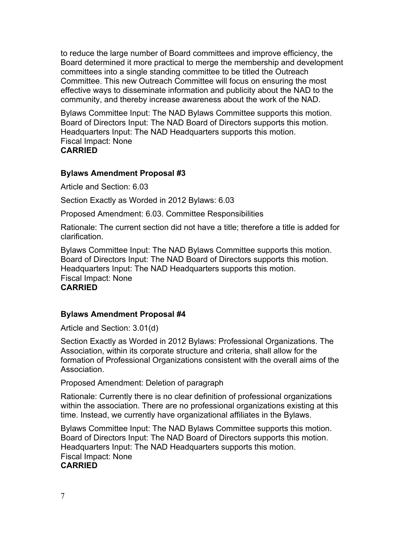to reduce the large number of Board committees and improve efficiency, the Board determined it more practical to merge the membership and development committees into a single standing committee to be titled the Outreach Committee. This new Outreach Committee will focus on ensuring the most effective ways to disseminate information and publicity about the NAD to the community, and thereby increase awareness about the work of the NAD.

Bylaws Committee Input: The NAD Bylaws Committee supports this motion. Board of Directors Input: The NAD Board of Directors supports this motion. Headquarters Input: The NAD Headquarters supports this motion. Fiscal Impact: None **CARRIED**

# **Bylaws Amendment Proposal #3**

Article and Section: 6.03

Section Exactly as Worded in 2012 Bylaws: 6.03

Proposed Amendment: 6.03. Committee Responsibilities

Rationale: The current section did not have a title; therefore a title is added for clarification.

Bylaws Committee Input: The NAD Bylaws Committee supports this motion. Board of Directors Input: The NAD Board of Directors supports this motion. Headquarters Input: The NAD Headquarters supports this motion. Fiscal Impact: None **CARRIED**

# **Bylaws Amendment Proposal #4**

Article and Section: 3.01(d)

Section Exactly as Worded in 2012 Bylaws: Professional Organizations. The Association, within its corporate structure and criteria, shall allow for the formation of Professional Organizations consistent with the overall aims of the Association.

Proposed Amendment: Deletion of paragraph

Rationale: Currently there is no clear definition of professional organizations within the association. There are no professional organizations existing at this time. Instead, we currently have organizational affiliates in the Bylaws.

Bylaws Committee Input: The NAD Bylaws Committee supports this motion. Board of Directors Input: The NAD Board of Directors supports this motion. Headquarters Input: The NAD Headquarters supports this motion. Fiscal Impact: None **CARRIED**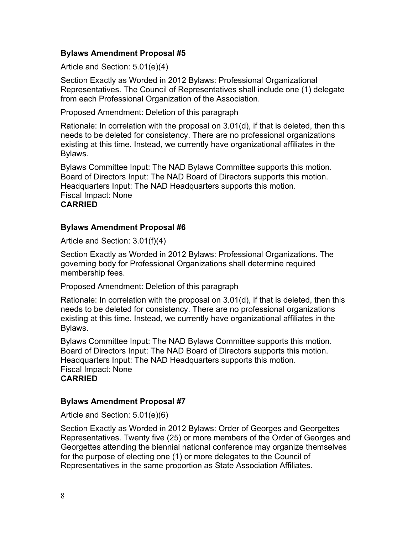# **Bylaws Amendment Proposal #5**

Article and Section: 5.01(e)(4)

Section Exactly as Worded in 2012 Bylaws: Professional Organizational Representatives. The Council of Representatives shall include one (1) delegate from each Professional Organization of the Association.

Proposed Amendment: Deletion of this paragraph

Rationale: In correlation with the proposal on 3.01(d), if that is deleted, then this needs to be deleted for consistency. There are no professional organizations existing at this time. Instead, we currently have organizational affiliates in the Bylaws.

Bylaws Committee Input: The NAD Bylaws Committee supports this motion. Board of Directors Input: The NAD Board of Directors supports this motion. Headquarters Input: The NAD Headquarters supports this motion. Fiscal Impact: None **CARRIED**

# **Bylaws Amendment Proposal #6**

Article and Section: 3.01(f)(4)

Section Exactly as Worded in 2012 Bylaws: Professional Organizations. The governing body for Professional Organizations shall determine required membership fees.

Proposed Amendment: Deletion of this paragraph

Rationale: In correlation with the proposal on 3.01(d), if that is deleted, then this needs to be deleted for consistency. There are no professional organizations existing at this time. Instead, we currently have organizational affiliates in the Bylaws.

Bylaws Committee Input: The NAD Bylaws Committee supports this motion. Board of Directors Input: The NAD Board of Directors supports this motion. Headquarters Input: The NAD Headquarters supports this motion. Fiscal Impact: None **CARRIED**

#### **Bylaws Amendment Proposal #7**

Article and Section: 5.01(e)(6)

Section Exactly as Worded in 2012 Bylaws: Order of Georges and Georgettes Representatives. Twenty five (25) or more members of the Order of Georges and Georgettes attending the biennial national conference may organize themselves for the purpose of electing one (1) or more delegates to the Council of Representatives in the same proportion as State Association Affiliates.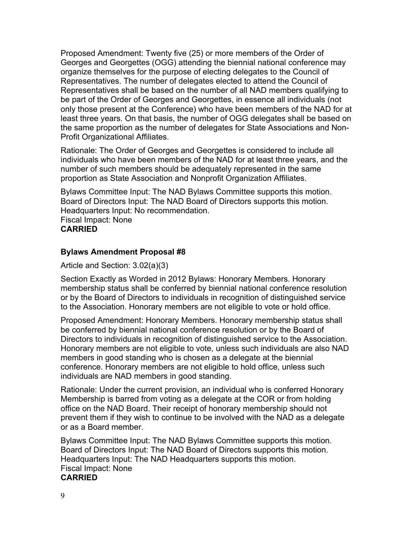Proposed Amendment: Twenty five (25) or more members of the Order of Georges and Georgettes (OGG) attending the biennial national conference may organize themselves for the purpose of electing delegates to the Council of Representatives. The number of delegates elected to attend the Council of Representatives shall be based on the number of all NAD members qualifying to be part of the Order of Georges and Georgettes, in essence all individuals (not only those present at the Conference) who have been members of the NAD for at least three years. On that basis, the number of OGG delegates shall be based on the same proportion as the number of delegates for State Associations and Non-Profit Organizational Affiliates.

Rationale: The Order of Georges and Georgettes is considered to include all individuals who have been members of the NAD for at least three years, and the number of such members should be adequately represented in the same proportion as State Association and Nonprofit Organization Affiliates.

Bylaws Committee Input: The NAD Bylaws Committee supports this motion. Board of Directors Input: The NAD Board of Directors supports this motion. Headquarters Input: No recommendation. Fiscal Impact: None **CARRIED**

# **Bylaws Amendment Proposal #8**

Article and Section: 3.02(a)(3)

Section Exactly as Worded in 2012 Bylaws: Honorary Members. Honorary membership status shall be conferred by biennial national conference resolution or by the Board of Directors to individuals in recognition of distinguished service to the Association. Honorary members are not eligible to vote or hold office.

Proposed Amendment: Honorary Members. Honorary membership status shall be conferred by biennial national conference resolution or by the Board of Directors to individuals in recognition of distinguished service to the Association. Honorary members are not eligible to vote, unless such individuals are also NAD members in good standing who is chosen as a delegate at the biennial conference. Honorary members are not eligible to hold office, unless such individuals are NAD members in good standing.

Rationale: Under the current provision, an individual who is conferred Honorary Membership is barred from voting as a delegate at the COR or from holding office on the NAD Board. Their receipt of honorary membership should not prevent them if they wish to continue to be involved with the NAD as a delegate or as a Board member.

Bylaws Committee Input: The NAD Bylaws Committee supports this motion. Board of Directors Input: The NAD Board of Directors supports this motion. Headquarters Input: The NAD Headquarters supports this motion. Fiscal Impact: None **CARRIED**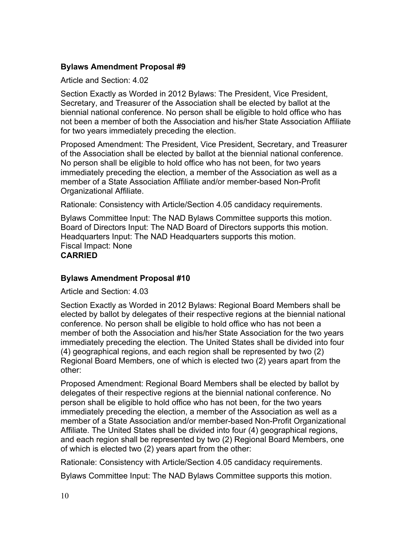# **Bylaws Amendment Proposal #9**

Article and Section: 4.02

Section Exactly as Worded in 2012 Bylaws: The President, Vice President, Secretary, and Treasurer of the Association shall be elected by ballot at the biennial national conference. No person shall be eligible to hold office who has not been a member of both the Association and his/her State Association Affiliate for two years immediately preceding the election.

Proposed Amendment: The President, Vice President, Secretary, and Treasurer of the Association shall be elected by ballot at the biennial national conference. No person shall be eligible to hold office who has not been, for two years immediately preceding the election, a member of the Association as well as a member of a State Association Affiliate and/or member-based Non-Profit Organizational Affiliate.

Rationale: Consistency with Article/Section 4.05 candidacy requirements.

Bylaws Committee Input: The NAD Bylaws Committee supports this motion. Board of Directors Input: The NAD Board of Directors supports this motion. Headquarters Input: The NAD Headquarters supports this motion. Fiscal Impact: None **CARRIED**

#### **Bylaws Amendment Proposal #10**

Article and Section: 4.03

Section Exactly as Worded in 2012 Bylaws: Regional Board Members shall be elected by ballot by delegates of their respective regions at the biennial national conference. No person shall be eligible to hold office who has not been a member of both the Association and his/her State Association for the two years immediately preceding the election. The United States shall be divided into four (4) geographical regions, and each region shall be represented by two (2) Regional Board Members, one of which is elected two (2) years apart from the other:

Proposed Amendment: Regional Board Members shall be elected by ballot by delegates of their respective regions at the biennial national conference. No person shall be eligible to hold office who has not been, for the two years immediately preceding the election, a member of the Association as well as a member of a State Association and/or member-based Non-Profit Organizational Affiliate. The United States shall be divided into four (4) geographical regions, and each region shall be represented by two (2) Regional Board Members, one of which is elected two (2) years apart from the other:

Rationale: Consistency with Article/Section 4.05 candidacy requirements.

Bylaws Committee Input: The NAD Bylaws Committee supports this motion.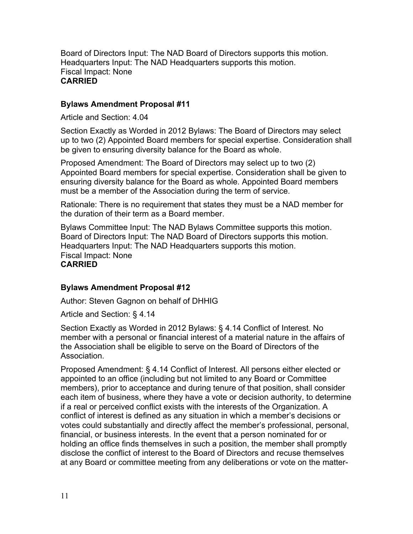Board of Directors Input: The NAD Board of Directors supports this motion. Headquarters Input: The NAD Headquarters supports this motion. Fiscal Impact: None **CARRIED**

#### **Bylaws Amendment Proposal #11**

Article and Section: 4.04

Section Exactly as Worded in 2012 Bylaws: The Board of Directors may select up to two (2) Appointed Board members for special expertise. Consideration shall be given to ensuring diversity balance for the Board as whole.

Proposed Amendment: The Board of Directors may select up to two (2) Appointed Board members for special expertise. Consideration shall be given to ensuring diversity balance for the Board as whole. Appointed Board members must be a member of the Association during the term of service.

Rationale: There is no requirement that states they must be a NAD member for the duration of their term as a Board member.

Bylaws Committee Input: The NAD Bylaws Committee supports this motion. Board of Directors Input: The NAD Board of Directors supports this motion. Headquarters Input: The NAD Headquarters supports this motion. Fiscal Impact: None **CARRIED**

#### **Bylaws Amendment Proposal #12**

Author: Steven Gagnon on behalf of DHHIG

Article and Section: § 4.14

Section Exactly as Worded in 2012 Bylaws: § 4.14 Conflict of Interest. No member with a personal or financial interest of a material nature in the affairs of the Association shall be eligible to serve on the Board of Directors of the Association.

Proposed Amendment: § 4.14 Conflict of Interest. All persons either elected or appointed to an office (including but not limited to any Board or Committee members), prior to acceptance and during tenure of that position, shall consider each item of business, where they have a vote or decision authority, to determine if a real or perceived conflict exists with the interests of the Organization. A conflict of interest is defined as any situation in which a member's decisions or votes could substantially and directly affect the member's professional, personal, financial, or business interests. In the event that a person nominated for or holding an office finds themselves in such a position, the member shall promptly disclose the conflict of interest to the Board of Directors and recuse themselves at any Board or committee meeting from any deliberations or vote on the matter-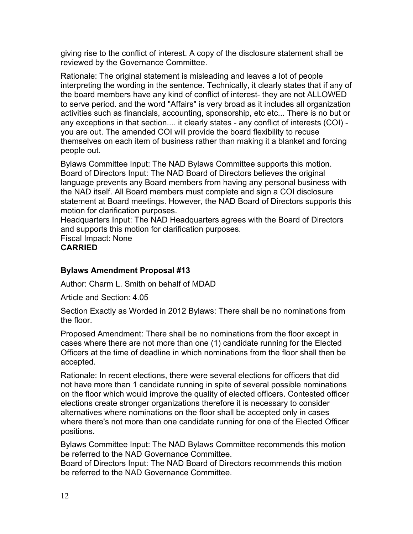giving rise to the conflict of interest. A copy of the disclosure statement shall be reviewed by the Governance Committee.

Rationale: The original statement is misleading and leaves a lot of people interpreting the wording in the sentence. Technically, it clearly states that if any of the board members have any kind of conflict of interest- they are not ALLOWED to serve period. and the word "Affairs" is very broad as it includes all organization activities such as financials, accounting, sponsorship, etc etc... There is no but or any exceptions in that section.... it clearly states - any conflict of interests (COI) you are out. The amended COI will provide the board flexibility to recuse themselves on each item of business rather than making it a blanket and forcing people out.

Bylaws Committee Input: The NAD Bylaws Committee supports this motion. Board of Directors Input: The NAD Board of Directors believes the original language prevents any Board members from having any personal business with the NAD itself. All Board members must complete and sign a COI disclosure statement at Board meetings. However, the NAD Board of Directors supports this motion for clarification purposes.

Headquarters Input: The NAD Headquarters agrees with the Board of Directors and supports this motion for clarification purposes.

Fiscal Impact: None **CARRIED**

# **Bylaws Amendment Proposal #13**

Author: Charm L. Smith on behalf of MDAD

Article and Section: 4.05

Section Exactly as Worded in 2012 Bylaws: There shall be no nominations from the floor.

Proposed Amendment: There shall be no nominations from the floor except in cases where there are not more than one (1) candidate running for the Elected Officers at the time of deadline in which nominations from the floor shall then be accepted.

Rationale: In recent elections, there were several elections for officers that did not have more than 1 candidate running in spite of several possible nominations on the floor which would improve the quality of elected officers. Contested officer elections create stronger organizations therefore it is necessary to consider alternatives where nominations on the floor shall be accepted only in cases where there's not more than one candidate running for one of the Elected Officer positions.

Bylaws Committee Input: The NAD Bylaws Committee recommends this motion be referred to the NAD Governance Committee.

Board of Directors Input: The NAD Board of Directors recommends this motion be referred to the NAD Governance Committee.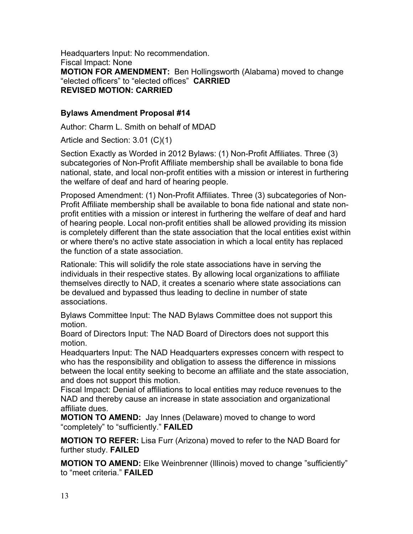Headquarters Input: No recommendation. Fiscal Impact: None **MOTION FOR AMENDMENT:** Ben Hollingsworth (Alabama) moved to change "elected officers" to "elected offices" **CARRIED REVISED MOTION: CARRIED**

# **Bylaws Amendment Proposal #14**

Author: Charm L. Smith on behalf of MDAD

Article and Section: 3.01 (C)(1)

Section Exactly as Worded in 2012 Bylaws: (1) Non-Profit Affiliates. Three (3) subcategories of Non-Profit Affiliate membership shall be available to bona fide national, state, and local non-profit entities with a mission or interest in furthering the welfare of deaf and hard of hearing people.

Proposed Amendment: (1) Non-Profit Affiliates. Three (3) subcategories of Non-Profit Affiliate membership shall be available to bona fide national and state nonprofit entities with a mission or interest in furthering the welfare of deaf and hard of hearing people. Local non-profit entities shall be allowed providing its mission is completely different than the state association that the local entities exist within or where there's no active state association in which a local entity has replaced the function of a state association.

Rationale: This will solidify the role state associations have in serving the individuals in their respective states. By allowing local organizations to affiliate themselves directly to NAD, it creates a scenario where state associations can be devalued and bypassed thus leading to decline in number of state associations.

Bylaws Committee Input: The NAD Bylaws Committee does not support this motion.

Board of Directors Input: The NAD Board of Directors does not support this motion.

Headquarters Input: The NAD Headquarters expresses concern with respect to who has the responsibility and obligation to assess the difference in missions between the local entity seeking to become an affiliate and the state association, and does not support this motion.

Fiscal Impact: Denial of affiliations to local entities may reduce revenues to the NAD and thereby cause an increase in state association and organizational affiliate dues.

**MOTION TO AMEND:** Jay Innes (Delaware) moved to change to word "completely" to "sufficiently." **FAILED**

**MOTION TO REFER:** Lisa Furr (Arizona) moved to refer to the NAD Board for further study. **FAILED**

**MOTION TO AMEND:** Elke Weinbrenner (Illinois) moved to change "sufficiently" to "meet criteria." **FAILED**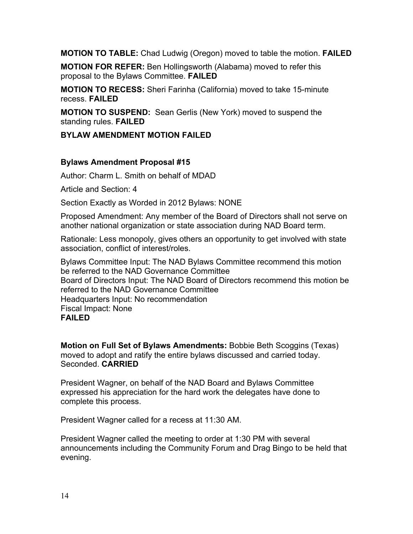**MOTION TO TABLE:** Chad Ludwig (Oregon) moved to table the motion. **FAILED**

**MOTION FOR REFER:** Ben Hollingsworth (Alabama) moved to refer this proposal to the Bylaws Committee. **FAILED**

**MOTION TO RECESS:** Sheri Farinha (California) moved to take 15-minute recess. **FAILED**

**MOTION TO SUSPEND:** Sean Gerlis (New York) moved to suspend the standing rules. **FAILED**

#### **BYLAW AMENDMENT MOTION FAILED**

#### **Bylaws Amendment Proposal #15**

Author: Charm L. Smith on behalf of MDAD

Article and Section: 4

Section Exactly as Worded in 2012 Bylaws: NONE

Proposed Amendment: Any member of the Board of Directors shall not serve on another national organization or state association during NAD Board term.

Rationale: Less monopoly, gives others an opportunity to get involved with state association, conflict of interest/roles.

Bylaws Committee Input: The NAD Bylaws Committee recommend this motion be referred to the NAD Governance Committee Board of Directors Input: The NAD Board of Directors recommend this motion be referred to the NAD Governance Committee Headquarters Input: No recommendation Fiscal Impact: None **FAILED**

**Motion on Full Set of Bylaws Amendments:** Bobbie Beth Scoggins (Texas) moved to adopt and ratify the entire bylaws discussed and carried today. Seconded. **CARRIED**

President Wagner, on behalf of the NAD Board and Bylaws Committee expressed his appreciation for the hard work the delegates have done to complete this process.

President Wagner called for a recess at 11:30 AM.

President Wagner called the meeting to order at 1:30 PM with several announcements including the Community Forum and Drag Bingo to be held that evening.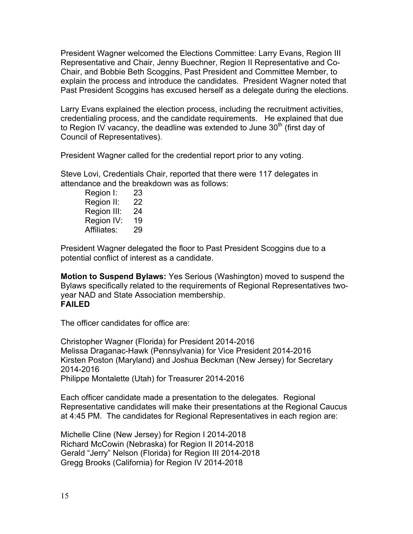President Wagner welcomed the Elections Committee: Larry Evans, Region III Representative and Chair, Jenny Buechner, Region II Representative and Co-Chair, and Bobbie Beth Scoggins, Past President and Committee Member, to explain the process and introduce the candidates. President Wagner noted that Past President Scoggins has excused herself as a delegate during the elections.

Larry Evans explained the election process, including the recruitment activities, credentialing process, and the candidate requirements. He explained that due to Region IV vacancy, the deadline was extended to June  $30<sup>th</sup>$  (first day of Council of Representatives).

President Wagner called for the credential report prior to any voting.

Steve Lovi, Credentials Chair, reported that there were 117 delegates in attendance and the breakdown was as follows:

Region I: 23 Region II: 22 Region III: 24 Region IV: 19 Affiliates: 29

President Wagner delegated the floor to Past President Scoggins due to a potential conflict of interest as a candidate.

**Motion to Suspend Bylaws:** Yes Serious (Washington) moved to suspend the Bylaws specifically related to the requirements of Regional Representatives twoyear NAD and State Association membership. **FAILED**

The officer candidates for office are:

Christopher Wagner (Florida) for President 2014-2016 Melissa Draganac-Hawk (Pennsylvania) for Vice President 2014-2016 Kirsten Poston (Maryland) and Joshua Beckman (New Jersey) for Secretary 2014-2016 Philippe Montalette (Utah) for Treasurer 2014-2016

Each officer candidate made a presentation to the delegates. Regional Representative candidates will make their presentations at the Regional Caucus at 4:45 PM. The candidates for Regional Representatives in each region are:

Michelle Cline (New Jersey) for Region I 2014-2018 Richard McCowin (Nebraska) for Region II 2014-2018 Gerald "Jerry" Nelson (Florida) for Region III 2014-2018 Gregg Brooks (California) for Region IV 2014-2018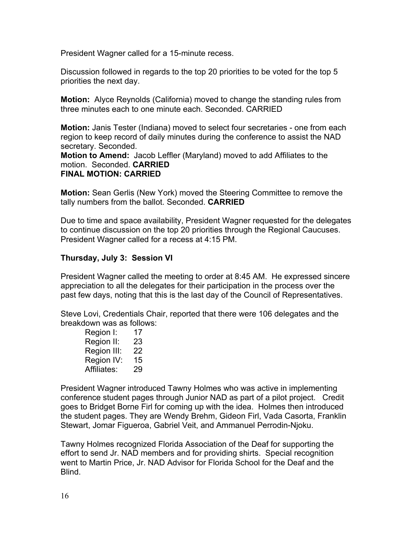President Wagner called for a 15-minute recess.

Discussion followed in regards to the top 20 priorities to be voted for the top 5 priorities the next day.

**Motion:** Alyce Reynolds (California) moved to change the standing rules from three minutes each to one minute each. Seconded. CARRIED

**Motion:** Janis Tester (Indiana) moved to select four secretaries - one from each region to keep record of daily minutes during the conference to assist the NAD secretary. Seconded.

**Motion to Amend:** Jacob Leffler (Maryland) moved to add Affiliates to the motion. Seconded. **CARRIED**

# **FINAL MOTION: CARRIED**

**Motion:** Sean Gerlis (New York) moved the Steering Committee to remove the tally numbers from the ballot. Seconded. **CARRIED**

Due to time and space availability, President Wagner requested for the delegates to continue discussion on the top 20 priorities through the Regional Caucuses. President Wagner called for a recess at 4:15 PM.

#### **Thursday, July 3: Session VI**

President Wagner called the meeting to order at 8:45 AM. He expressed sincere appreciation to all the delegates for their participation in the process over the past few days, noting that this is the last day of the Council of Representatives.

Steve Lovi, Credentials Chair, reported that there were 106 delegates and the breakdown was as follows:

Region I: 17 Region II: 23 Region III: 22 Region IV: 15 Affiliates: 29

President Wagner introduced Tawny Holmes who was active in implementing conference student pages through Junior NAD as part of a pilot project. Credit goes to Bridget Borne Firl for coming up with the idea. Holmes then introduced the student pages. They are Wendy Brehm, Gideon Firl, Vada Casorta, Franklin Stewart, Jomar Figueroa, Gabriel Veit, and Ammanuel Perrodin-Njoku.

Tawny Holmes recognized Florida Association of the Deaf for supporting the effort to send Jr. NAD members and for providing shirts. Special recognition went to Martin Price, Jr. NAD Advisor for Florida School for the Deaf and the Blind.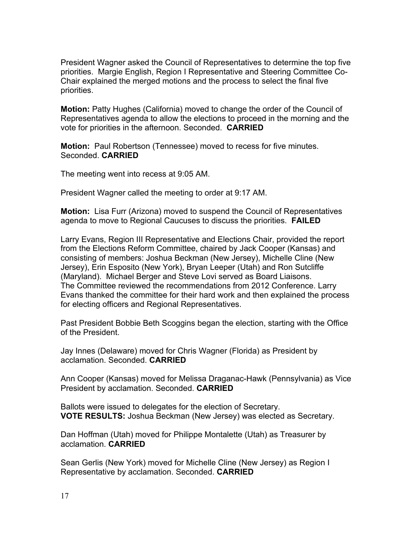President Wagner asked the Council of Representatives to determine the top five priorities. Margie English, Region I Representative and Steering Committee Co-Chair explained the merged motions and the process to select the final five priorities.

**Motion:** Patty Hughes (California) moved to change the order of the Council of Representatives agenda to allow the elections to proceed in the morning and the vote for priorities in the afternoon. Seconded. **CARRIED**

**Motion:** Paul Robertson (Tennessee) moved to recess for five minutes. Seconded. **CARRIED**

The meeting went into recess at 9:05 AM.

President Wagner called the meeting to order at 9:17 AM.

**Motion:** Lisa Furr (Arizona) moved to suspend the Council of Representatives agenda to move to Regional Caucuses to discuss the priorities. **FAILED**

Larry Evans, Region III Representative and Elections Chair, provided the report from the Elections Reform Committee, chaired by Jack Cooper (Kansas) and consisting of members: Joshua Beckman (New Jersey), Michelle Cline (New Jersey), Erin Esposito (New York), Bryan Leeper (Utah) and Ron Sutcliffe (Maryland). Michael Berger and Steve Lovi served as Board Liaisons. The Committee reviewed the recommendations from 2012 Conference. Larry Evans thanked the committee for their hard work and then explained the process for electing officers and Regional Representatives.

Past President Bobbie Beth Scoggins began the election, starting with the Office of the President.

Jay Innes (Delaware) moved for Chris Wagner (Florida) as President by acclamation. Seconded. **CARRIED**

Ann Cooper (Kansas) moved for Melissa Draganac-Hawk (Pennsylvania) as Vice President by acclamation. Seconded. **CARRIED**

Ballots were issued to delegates for the election of Secretary. **VOTE RESULTS:** Joshua Beckman (New Jersey) was elected as Secretary.

Dan Hoffman (Utah) moved for Philippe Montalette (Utah) as Treasurer by acclamation. **CARRIED**

Sean Gerlis (New York) moved for Michelle Cline (New Jersey) as Region I Representative by acclamation. Seconded. **CARRIED**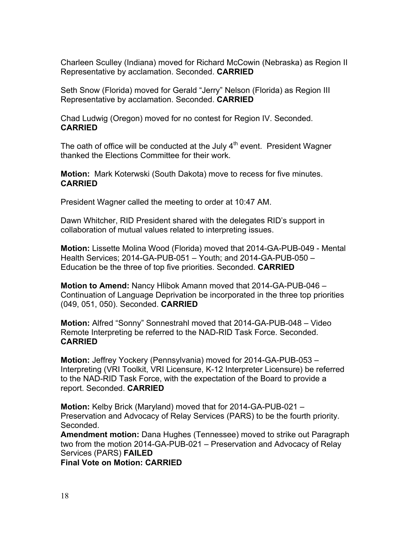Charleen Sculley (Indiana) moved for Richard McCowin (Nebraska) as Region II Representative by acclamation. Seconded. **CARRIED**

Seth Snow (Florida) moved for Gerald "Jerry" Nelson (Florida) as Region III Representative by acclamation. Seconded. **CARRIED**

Chad Ludwig (Oregon) moved for no contest for Region IV. Seconded. **CARRIED**

The oath of office will be conducted at the July  $4<sup>th</sup>$  event. President Wagner thanked the Elections Committee for their work.

**Motion:** Mark Koterwski (South Dakota) move to recess for five minutes. **CARRIED**

President Wagner called the meeting to order at 10:47 AM.

Dawn Whitcher, RID President shared with the delegates RID's support in collaboration of mutual values related to interpreting issues.

**Motion:** Lissette Molina Wood (Florida) moved that 2014-GA-PUB-049 - Mental Health Services; 2014-GA-PUB-051 – Youth; and 2014-GA-PUB-050 – Education be the three of top five priorities. Seconded. **CARRIED** 

**Motion to Amend:** Nancy Hlibok Amann moved that 2014-GA-PUB-046 – Continuation of Language Deprivation be incorporated in the three top priorities (049, 051, 050). Seconded. **CARRIED**

**Motion:** Alfred "Sonny" Sonnestrahl moved that 2014-GA-PUB-048 – Video Remote Interpreting be referred to the NAD-RID Task Force. Seconded. **CARRIED**

**Motion:** Jeffrey Yockery (Pennsylvania) moved for 2014-GA-PUB-053 – Interpreting (VRI Toolkit, VRI Licensure, K-12 Interpreter Licensure) be referred to the NAD-RID Task Force, with the expectation of the Board to provide a report. Seconded. **CARRIED**

**Motion:** Kelby Brick (Maryland) moved that for 2014-GA-PUB-021 – Preservation and Advocacy of Relay Services (PARS) to be the fourth priority. Seconded.

**Amendment motion:** Dana Hughes (Tennessee) moved to strike out Paragraph two from the motion 2014-GA-PUB-021 – Preservation and Advocacy of Relay Services (PARS) **FAILED**

**Final Vote on Motion: CARRIED**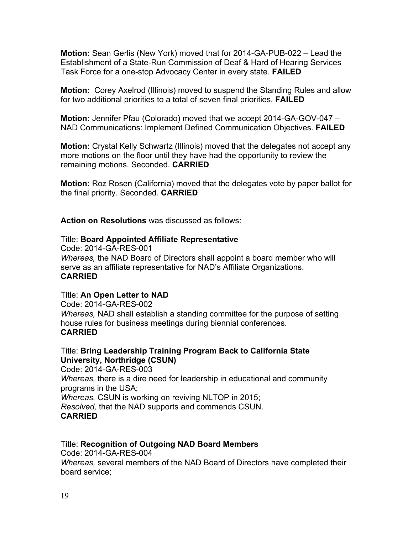**Motion:** Sean Gerlis (New York) moved that for 2014-GA-PUB-022 – Lead the Establishment of a State-Run Commission of Deaf & Hard of Hearing Services Task Force for a one-stop Advocacy Center in every state. **FAILED**

**Motion:** Corey Axelrod (Illinois) moved to suspend the Standing Rules and allow for two additional priorities to a total of seven final priorities. **FAILED**

**Motion:** Jennifer Pfau (Colorado) moved that we accept 2014-GA-GOV-047 – NAD Communications: Implement Defined Communication Objectives. **FAILED**

**Motion:** Crystal Kelly Schwartz (Illinois) moved that the delegates not accept any more motions on the floor until they have had the opportunity to review the remaining motions. Seconded. **CARRIED**

**Motion:** Roz Rosen (California) moved that the delegates vote by paper ballot for the final priority. Seconded. **CARRIED**

**Action on Resolutions** was discussed as follows:

#### Title: **Board Appointed Affiliate Representative**

Code: 2014-GA-RES-001 *Whereas,* the NAD Board of Directors shall appoint a board member who will serve as an affiliate representative for NAD's Affiliate Organizations. **CARRIED**

#### Title: **An Open Letter to NAD**

Code: 2014-GA-RES-002 *Whereas,* NAD shall establish a standing committee for the purpose of setting house rules for business meetings during biennial conferences. **CARRIED**

#### Title: **Bring Leadership Training Program Back to California State University, Northridge (CSUN)**

Code: 2014-GA-RES-003 *Whereas,* there is a dire need for leadership in educational and community programs in the USA; *Whereas,* CSUN is working on reviving NLTOP in 2015; *Resolved,* that the NAD supports and commends CSUN. **CARRIED**

# Title: **Recognition of Outgoing NAD Board Members**

Code: 2014-GA-RES-004 *Whereas,* several members of the NAD Board of Directors have completed their board service;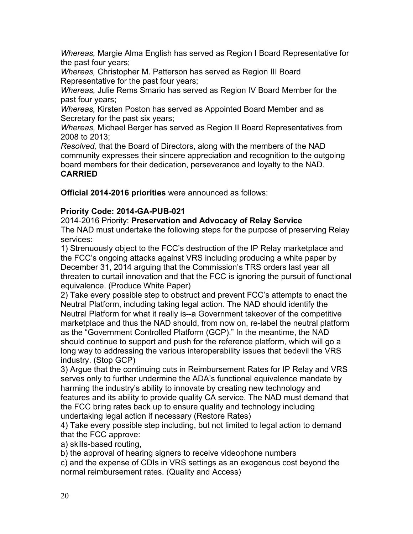*Whereas,* Margie Alma English has served as Region I Board Representative for the past four years;

*Whereas,* Christopher M. Patterson has served as Region III Board Representative for the past four years;

*Whereas,* Julie Rems Smario has served as Region IV Board Member for the past four years;

*Whereas,* Kirsten Poston has served as Appointed Board Member and as Secretary for the past six years;

*Whereas,* Michael Berger has served as Region II Board Representatives from 2008 to 2013;

*Resolved,* that the Board of Directors, along with the members of the NAD community expresses their sincere appreciation and recognition to the outgoing board members for their dedication, perseverance and loyalty to the NAD. **CARRIED**

**Official 2014-2016 priorities** were announced as follows:

# **Priority Code: 2014-GA-PUB-021**

2014-2016 Priority: **Preservation and Advocacy of Relay Service**

The NAD must undertake the following steps for the purpose of preserving Relay services:

1) Strenuously object to the FCC's destruction of the IP Relay marketplace and the FCC's ongoing attacks against VRS including producing a white paper by December 31, 2014 arguing that the Commission's TRS orders last year all threaten to curtail innovation and that the FCC is ignoring the pursuit of functional equivalence. (Produce White Paper)

2) Take every possible step to obstruct and prevent FCC's attempts to enact the Neutral Platform, including taking legal action. The NAD should identify the Neutral Platform for what it really is--a Government takeover of the competitive marketplace and thus the NAD should, from now on, re-label the neutral platform as the "Government Controlled Platform (GCP)." In the meantime, the NAD should continue to support and push for the reference platform, which will go a long way to addressing the various interoperability issues that bedevil the VRS industry. (Stop GCP)

3) Argue that the continuing cuts in Reimbursement Rates for IP Relay and VRS serves only to further undermine the ADA's functional equivalence mandate by harming the industry's ability to innovate by creating new technology and features and its ability to provide quality CA service. The NAD must demand that the FCC bring rates back up to ensure quality and technology including undertaking legal action if necessary (Restore Rates)

4) Take every possible step including, but not limited to legal action to demand that the FCC approve:

a) skills-based routing,

b) the approval of hearing signers to receive videophone numbers

c) and the expense of CDIs in VRS settings as an exogenous cost beyond the normal reimbursement rates. (Quality and Access)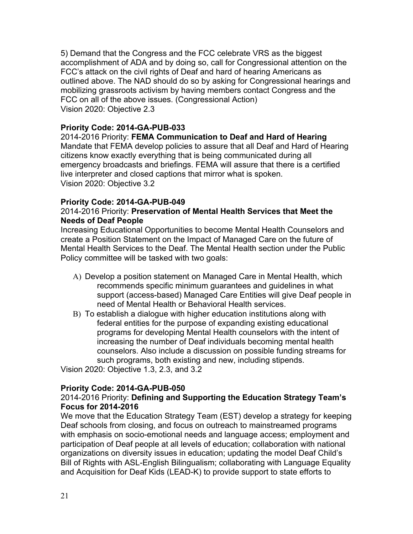5) Demand that the Congress and the FCC celebrate VRS as the biggest accomplishment of ADA and by doing so, call for Congressional attention on the FCC's attack on the civil rights of Deaf and hard of hearing Americans as outlined above. The NAD should do so by asking for Congressional hearings and mobilizing grassroots activism by having members contact Congress and the FCC on all of the above issues. (Congressional Action) Vision 2020: Objective 2.3

# **Priority Code: 2014-GA-PUB-033**

2014-2016 Priority: **FEMA Communication to Deaf and Hard of Hearing** Mandate that FEMA develop policies to assure that all Deaf and Hard of Hearing citizens know exactly everything that is being communicated during all emergency broadcasts and briefings. FEMA will assure that there is a certified live interpreter and closed captions that mirror what is spoken. Vision 2020: Objective 3.2

#### **Priority Code: 2014-GA-PUB-049**

#### 2014-2016 Priority: **Preservation of Mental Health Services that Meet the Needs of Deaf People**

Increasing Educational Opportunities to become Mental Health Counselors and create a Position Statement on the Impact of Managed Care on the future of Mental Health Services to the Deaf. The Mental Health section under the Public Policy committee will be tasked with two goals:

- A) Develop a position statement on Managed Care in Mental Health, which recommends specific minimum guarantees and guidelines in what support (access-based) Managed Care Entities will give Deaf people in need of Mental Health or Behavioral Health services.
- B) To establish a dialogue with higher education institutions along with federal entities for the purpose of expanding existing educational programs for developing Mental Health counselors with the intent of increasing the number of Deaf individuals becoming mental health counselors. Also include a discussion on possible funding streams for such programs, both existing and new, including stipends.

Vision 2020: Objective 1.3, 2.3, and 3.2

# **Priority Code: 2014-GA-PUB-050**

#### 2014-2016 Priority: **Defining and Supporting the Education Strategy Team's Focus for 2014-2016**

We move that the Education Strategy Team (EST) develop a strategy for keeping Deaf schools from closing, and focus on outreach to mainstreamed programs with emphasis on socio-emotional needs and language access; employment and participation of Deaf people at all levels of education; collaboration with national organizations on diversity issues in education; updating the model Deaf Child's Bill of Rights with ASL-English Bilingualism; collaborating with Language Equality and Acquisition for Deaf Kids (LEAD-K) to provide support to state efforts to